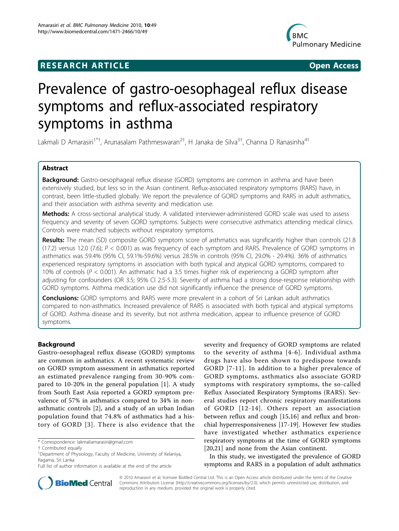# **RESEARCH ARTICLE Example 2018 CONSIDERING ACCESS**



# Prevalence of gastro-oesophageal reflux disease symptoms and reflux-associated respiratory symptoms in asthma

Lakmali D Amarasiri<sup>1\*†</sup>, Arunasalam Pathmeswaran<sup>2†</sup>, H Janaka de Silva<sup>3†</sup>, Channa D Ranasinha<sup>4†</sup>

## Abstract

Background: Gastro-oesophageal reflux disease (GORD) symptoms are common in asthma and have been extensively studied, but less so in the Asian continent. Reflux-associated respiratory symptoms (RARS) have, in contrast, been little-studied globally. We report the prevalence of GORD symptoms and RARS in adult asthmatics, and their association with asthma severity and medication use.

Methods: A cross-sectional analytical study. A validated interviewer-administered GORD scale was used to assess frequency and severity of seven GORD symptoms. Subjects were consecutive asthmatics attending medical clinics. Controls were matched subjects without respiratory symptoms.

Results: The mean (SD) composite GORD symptom score of asthmatics was significantly higher than controls (21.8 (17.2) versus 12.0 (7.6);  $P < 0.001$ ) as was frequency of each symptom and RARS. Prevalence of GORD symptoms in asthmatics was 59.4% (95% CI, 59.1%-59.6%) versus 28.5% in controls (95% CI, 29.0% - 29.4%). 36% of asthmatics experienced respiratory symptoms in association with both typical and atypical GORD symptoms, compared to 10% of controls ( $P < 0.001$ ). An asthmatic had a 3.5 times higher risk of experiencing a GORD symptom after adjusting for confounders (OR 3.5; 95% CI 2.5-5.3). Severity of asthma had a strong dose-response relationship with GORD symptoms. Asthma medication use did not significantly influence the presence of GORD symptoms.

**Conclusions:** GORD symptoms and RARS were more prevalent in a cohort of Sri Lankan adult asthmatics compared to non-asthmatics. Increased prevalence of RARS is associated with both typical and atypical symptoms of GORD. Asthma disease and its severity, but not asthma medication, appear to influence presence of GORD symptoms.

## Background

Gastro-oesophageal reflux disease (GORD) symptoms are common in asthmatics. A recent systematic review on GORD symptom assessment in asthmatics reported an estimated prevalence ranging from 30-90% compared to 10-20% in the general population [[1\]](#page-6-0). A study from South East Asia reported a GORD symptom prevalence of 57% in asthmatics compared to 34% in nonasthmatic controls [\[2](#page-6-0)], and a study of an urban Indian population found that 74.8% of asthmatics had a history of GORD [[3\]](#page-6-0). There is also evidence that the

\* Correspondence: [lakmaliamarasiri@gmail.com](mailto:lakmaliamarasiri@gmail.com)

severity and frequency of GORD symptoms are related to the severity of asthma [[4-6](#page-6-0)]. Individual asthma drugs have also been shown to predispose towards GORD [[7](#page-6-0)-[11\]](#page-6-0). In addition to a higher prevalence of GORD symptoms, asthmatics also associate GORD symptoms with respiratory symptoms, the so-called Reflux Associated Respiratory Symptoms (RARS). Several studies report chronic respiratory manifestations of GORD [[12](#page-6-0)-[14](#page-6-0)]. Others report an association between reflux and cough [[15,16](#page-6-0)] and reflux and bronchial hyperresponsiveness [\[17](#page-6-0)-[19\]](#page-6-0). However few studies have investigated whether asthmatics experience respiratory symptoms at the time of GORD symptoms [[20,21](#page-6-0)] and none from the Asian continent.

In this study, we investigated the prevalence of GORD symptoms and RARS in a population of adult asthmatics



© 2010 Amarasiri et al; licensee BioMed Central Ltd. This is an Open Access article distributed under the terms of the Creative Commons Attribution License [\(http://creativecommons.org/licenses/by/2.0](http://creativecommons.org/licenses/by/2.0)), which permits unrestricted use, distribution, and reproduction in any medium, provided the original work is properly cited.

<sup>†</sup> Contributed equally <sup>1</sup>

<sup>&</sup>lt;sup>1</sup>Department of Physiology, Faculty of Medicine, University of Kelaniya, Ragama, Sri Lanka

Full list of author information is available at the end of the article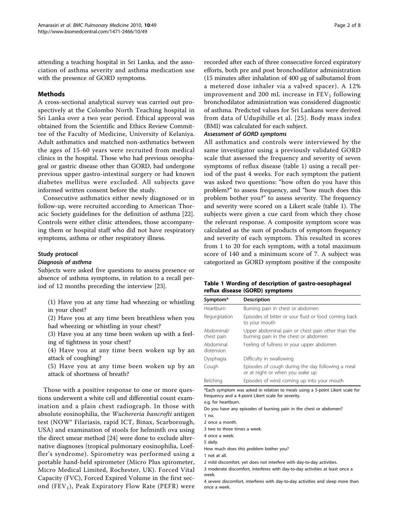attending a teaching hospital in Sri Lanka, and the association of asthma severity and asthma medication use with the presence of GORD symptoms.

## Methods

A cross-sectional analytical survey was carried out prospectively at the Colombo North Teaching hospital in Sri Lanka over a two year period. Ethical approval was obtained from the Scientific and Ethics Review Committee of the Faculty of Medicine, University of Kelaniya. Adult asthmatics and matched non-asthmatics between the ages of 15-60 years were recruited from medical clinics in the hospital. Those who had previous oesophageal or gastric disease other than GORD, had undergone previous upper gastro-intestinal surgery or had known diabetes mellitus were excluded. All subjects gave informed written consent before the study.

Consecutive asthmatics either newly diagnosed or in follow-up, were recruited according to American Thoracic Society guidelines for the definition of asthma [\[22](#page-6-0)]. Controls were either clinic attendees, those accompanying them or hospital staff who did not have respiratory symptoms, asthma or other respiratory illness.

## Study protocol

#### Diagnosis of asthma

Subjects were asked five questions to assess presence or absence of asthma symptoms, in relation to a recall period of 12 months preceding the interview [[23\]](#page-6-0).

|                |  |  | (1) Have you at any time had wheezing or whistling |  |  |
|----------------|--|--|----------------------------------------------------|--|--|
| in your chest? |  |  |                                                    |  |  |

(2) Have you at any time been breathless when you had wheezing or whistling in your chest?

(3) Have you at any time been woken up with a feeling of tightness in your chest?

(4) Have you at any time been woken up by an attack of coughing?

(5) Have you at any time been woken up by an attack of shortness of breath?

Those with a positive response to one or more questions underwent a white cell and differential count examination and a plain chest radiograph. In those with absolute eosinophilia, the Wuchereria bancrofti antigen test (NOW® Filariasis, rapid ICT, Binax, Scarborough, USA) and examination of stools for helminth ova using the direct smear method [\[24\]](#page-6-0) were done to exclude alternative diagnoses (tropical pulmonary eosinophilia, Loeffler's syndrome). Spirometry was performed using a portable hand-held spirometer (Micro Plus spirometer, Micro Medical Limited, Rochester, UK). Forced Vital Capacity (FVC), Forced Expired Volume in the first second  $(FEV<sub>1</sub>)$ , Peak Expiratory Flow Rate (PEFR) were recorded after each of three consecutive forced expiratory efforts, both pre and post bronchodilator administration (15 minutes after inhalation of 400 μg of salbutamol from a metered dose inhaler via a valved spacer). A 12% improvement and 200 mL increase in  $FEV<sub>1</sub>$  following bronchodilator administration was considered diagnostic of asthma. Predicted values for Sri Lankans were derived from data of Udupihille et al. [[25](#page-6-0)]. Body mass index (BMI) was calculated for each subject.

## Assessment of GORD symptoms

All asthmatics and controls were interviewed by the same investigator using a previously validated GORD scale that assessed the frequency and severity of seven symptoms of reflux disease (table 1) using a recall period of the past 4 weeks. For each symptom the patient was asked two questions: "how often do you have this problem?" to assess frequency, and "how much does this problem bother you?" to assess severity. The frequency and severity were scored on a Likert scale (table 1). The subjects were given a cue card from which they chose the relevant response. A composite symptom score was calculated as the sum of products of symptom frequency and severity of each symptom. This resulted in scores from 1 to 20 for each symptom, with a total maximum score of 140 and a minimum score of 7. A subject was categorized as GORD symptom positive if the composite

## Table 1 Wording of description of gastro-oesophageal reflux disease (GORD) symptoms

| Symptom*                 | <b>Description</b>                                                                        |
|--------------------------|-------------------------------------------------------------------------------------------|
| Heartburn                | Burning pain in chest or abdomen                                                          |
| Regurgitation            | Episodes of bitter or sour fluid or food coming back<br>to your mouth                     |
| Abdominal/<br>chest pain | Upper abdominal pain or chest pain other than the<br>burning pain in the chest or abdomen |
| Abdominal<br>distension  | Feeling of fullness in your upper abdomen                                                 |
| Dysphagia                | Difficulty in swallowing                                                                  |
| Cough                    | Episodes of cough during the day following a meal<br>or at night or when you wake up      |
| Belching                 | Episodes of wind coming up into your mouth                                                |

\*Each symptom was asked in relation to meals using a 5-point Likert scale for frequency and a 4-point Likert scale for severity.

e.g. for heartburn.

Do you have any episodes of burning pain in the chest or abdomen? 1 no.

2 once a month.

3 two to three times a week.

4 once a week.

5 daily.

How much does this problem bother you?

1 not at all.

2 mild discomfort, yet does not interfere with day-to-day activities.

3 moderate discomfort, interferes with day-to-day activities at least once a week.

4 severe discomfort, interferes with day-to-day activities and sleep more than once a week.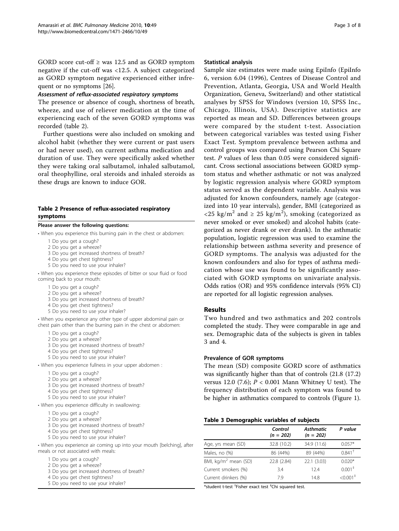GORD score cut-off  $\geq$  was 12.5 and as GORD symptom negative if the cut-off was <12.5. A subject categorized as GORD symptom negative experienced either infrequent or no symptoms [\[26\]](#page-6-0).

## Assessment of reflux-associated respiratory symptoms

The presence or absence of cough, shortness of breath, wheeze, and use of reliever medication at the time of experiencing each of the seven GORD symptoms was recorded (table 2).

Further questions were also included on smoking and alcohol habit (whether they were current or past users or had never used), on current asthma medication and duration of use. They were specifically asked whether they were taking oral salbutamol, inhaled salbutamol, oral theophylline, oral steroids and inhaled steroids as these drugs are known to induce GOR.

## Table 2 Presence of reflux-associated respiratory symptoms

#### Please answer the following questions:

- When you experience this burning pain in the chest or abdomen:
	- 1 Do you get a cough?
	- 2 Do you get a wheeze?
	- 3 Do you get increased shortness of breath?
	- 4 Do you get chest tightness?
	- 5 Do you need to use your inhaler?

• When you experience these episodes of bitter or sour fluid or food coming back to your mouth:

- 1 Do you get a cough?
- 2 Do you get a wheeze?
- 3 Do you get increased shortness of breath?
- 4 Do you get chest tightness?
- 5 Do you need to use your inhaler?

• When you experience any other type of upper abdominal pain or chest pain other than the burning pain in the chest or abdomen:

- 1 Do you get a cough?
- 2 Do you get a wheeze?
- 3 Do you get increased shortness of breath?
- 4 Do you get chest tightness?
- 5 Do you need to use your inhaler?
- When you experience fullness in your upper abdomen :
	- 1 Do you get a cough?
	- 2 Do you get a wheeze?
	- 3 Do you get increased shortness of breath?
	- 4 Do you get chest tightness?
	- 5 Do you need to use your inhaler?
- When you experience difficulty in swallowing:
	- 1 Do you get a cough?
	- 2 Do you get a wheeze?
	- 3 Do you get increased shortness of breath?
	- 4 Do you get chest tightness?
	- 5 Do you need to use your inhaler?

• When you experience air coming up into your mouth [belching], after meals or not associated with meals:

- 1 Do you get a cough?
- 2 Do you get a wheeze?
- 3 Do you get increased shortness of breath?
- 4 Do you get chest tightness? 5 Do you need to use your inhaler?

#### Statistical analysis

Sample size estimates were made using EpiInfo (EpiInfo 6, version 6.04 (1996), Centres of Disease Control and Prevention, Atlanta, Georgia, USA and World Health Organization, Geneva, Switzerland) and other statistical analyses by SPSS for Windows (version 10, SPSS Inc., Chicago, Illinois, USA). Descriptive statistics are reported as mean and SD. Differences between groups were compared by the student t-test. Association between categorical variables was tested using Fisher Exact Test. Symptom prevalence between asthma and control groups was compared using Pearson Chi Square test. P values of less than 0.05 were considered significant. Cross sectional associations between GORD symptom status and whether asthmatic or not was analyzed by logistic regression analysis where GORD symptom status served as the dependent variable. Analysis was adjusted for known confounders, namely age (categorized into 10 year intervals), gender, BMI (categorized as <25 kg/m<sup>2</sup> and  $\geq$  25 kg/m<sup>2</sup>), smoking (categorized as never smoked or ever smoked) and alcohol habits (categorized as never drank or ever drank). In the asthmatic population, logistic regression was used to examine the relationship between asthma severity and presence of GORD symptoms. The analysis was adjusted for the known confounders and also for types of asthma medication whose use was found to be significantly associated with GORD symptoms on univariate analysis. Odds ratios (OR) and 95% confidence intervals (95% CI) are reported for all logistic regression analyses.

#### Results

Two hundred and two asthmatics and 202 controls completed the study. They were comparable in age and sex. Demographic data of the subjects is given in tables 3 and [4.](#page-3-0)

#### Prevalence of GOR symptoms

The mean (SD) composite GORD score of asthmatics was significantly higher than that of controls (21.8 (17.2) versus 12.0 (7.6);  $P < 0.001$  Mann Whitney U test). The frequency distribution of each symptom was found to be higher in asthmatics compared to controls (Figure [1](#page-3-0)).

#### Table 3 Demographic variables of subjects

|                                  | Control<br>$(n = 202)$ | <b>Asthmatic</b><br>$(n = 202)$ | P value                |
|----------------------------------|------------------------|---------------------------------|------------------------|
| Age, yrs mean (SD)               | 32.8 (10.2)            | 34.9 (11.6)                     | $0.057*$               |
| Males, no (%)                    | 86 (44%)               | 89 (44%)                        | $0.841$ <sup>†</sup>   |
| BMI, kg/m <sup>2</sup> mean (SD) | 22.8 (2.84)            | 22.1 (3.03)                     | $0.020*$               |
| Current smokers (%)              | 3.4                    | 124                             | 0.001 <sup>‡</sup>     |
| Current drinkers (%)             | 79                     | 14.8                            | $< 0.001$ <sup>+</sup> |

\*student t-test † Fisher exact test ‡ Chi squared test.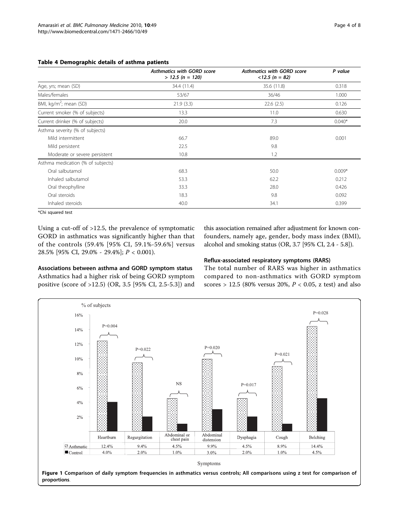#### <span id="page-3-0"></span>Table 4 Demographic details of asthma patients

|                                    | <b>Asthmatics with GORD score</b><br>$> 12.5$ (n = 120) | <b>Asthmatics with GORD score</b><br>$< 12.5 (n = 82)$ | P value  |
|------------------------------------|---------------------------------------------------------|--------------------------------------------------------|----------|
| Age, yrs; mean (SD)                | 34.4 (11.4)                                             | 35.6 (11.8)                                            | 0.318    |
| Males/females                      | 53/67                                                   | 36/46                                                  | 1.000    |
| BMI, kg/m <sup>2</sup> ; mean (SD) | 21.9(3.3)                                               | 22.6(2.5)                                              | 0.126    |
| Current smoker (% of subjects)     | 13.3                                                    | 11.0                                                   | 0.630    |
| Current drinker (% of subjects)    | 20.0                                                    | 7.3                                                    | $0.040*$ |
| Asthma severity (% of subjects)    |                                                         |                                                        |          |
| Mild intermittent                  | 66.7                                                    | 89.0                                                   | 0.001    |
| Mild persistent                    | 22.5                                                    | 9.8                                                    |          |
| Moderate or severe persistent      | 10.8                                                    | 1.2                                                    |          |
| Asthma medication (% of subjects)  |                                                         |                                                        |          |
| Oral salbutamol                    | 68.3                                                    | 50.0                                                   | $0.009*$ |
| Inhaled salbutamol                 | 53.3                                                    | 62.2                                                   | 0.212    |
| Oral theophylline                  | 33.3                                                    | 28.0                                                   | 0.426    |
| Oral steroids                      | 18.3                                                    | 9.8                                                    | 0.092    |
| Inhaled steroids                   | 40.0                                                    | 34.1                                                   | 0.399    |

\*Chi squared test

Using a cut-off of >12.5, the prevalence of symptomatic GORD in asthmatics was significantly higher than that of the controls (59.4% [95% CI, 59.1%-59.6%] versus 28.5% [95% CI, 29.0% - 29.4%]; P < 0.001).

this association remained after adjustment for known confounders, namely age, gender, body mass index (BMI), alcohol and smoking status (OR, 3.7 [95% CI, 2.4 - 5.8]).

## Associations between asthma and GORD symptom status Asthmatics had a higher risk of being GORD symptom positive (score of >12.5) (OR, 3.5 [95% CI, 2.5-5.3]) and

## Reflux-associated respiratory symptoms (RARS)

The total number of RARS was higher in asthmatics compared to non-asthmatics with GORD symptom scores > 12.5 (80% versus 20%,  $P < 0.05$ , z test) and also

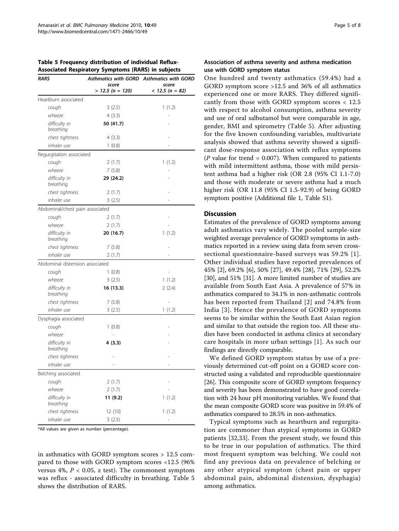| Table 5 Frequency distribution of individual Reflux-      |  |  |
|-----------------------------------------------------------|--|--|
| <b>Associated Respiratory Symptoms (RARS) in subjects</b> |  |  |

| RARS                            | score              | Asthmatics with GORD Asthmatics with GORD<br>score |  |  |
|---------------------------------|--------------------|----------------------------------------------------|--|--|
|                                 | $> 12.5$ (n = 120) | $< 12.5 (n = 82)$                                  |  |  |
| Heartburn associated            |                    |                                                    |  |  |
| cough                           | 3(2.5)             | 1(1.2)                                             |  |  |
| wheeze                          | 4(3.3)             |                                                    |  |  |
| difficulty in<br>breathing      | 50 (41.7)          |                                                    |  |  |
| chest tightness                 | 4(3.3)             |                                                    |  |  |
| inhaler use                     | 1(0.8)             |                                                    |  |  |
| Regurgitation associated        |                    |                                                    |  |  |
| cough                           | 2(1.7)             | 1(1.2)                                             |  |  |
| wheeze                          | 7(5.8)             |                                                    |  |  |
| difficulty in<br>breathing      | 29 (24.2)          |                                                    |  |  |
| chest tightness                 | 2(1.7)             |                                                    |  |  |
| inhaler use                     | 3(2.5)             |                                                    |  |  |
| Abdominal/chest pain associated |                    |                                                    |  |  |
| cough                           | 2(1.7)             |                                                    |  |  |
| wheeze                          | 2(1.7)             |                                                    |  |  |
| difficulty in<br>breathing      | 20 (16.7)          | 1(1.2)                                             |  |  |
| chest tightness                 | 7(5.8)             |                                                    |  |  |
| inhaler use                     | 2(1.7)             |                                                    |  |  |
| Abdominal distension associated |                    |                                                    |  |  |
| cough                           | 1(0.8)             |                                                    |  |  |
| wheeze                          | 3(2.5)             | 1(1.2)                                             |  |  |
| difficulty in<br>breathing      | 16 (13.3)          | 2(2.4)                                             |  |  |
| chest tightness                 | 7(5.8)             |                                                    |  |  |
| inhaler use                     | 3(2.5)             | 1(1.2)                                             |  |  |
| Dysphagia associated            |                    |                                                    |  |  |
| cough                           | 1(0.8)             |                                                    |  |  |
| wheeze                          |                    |                                                    |  |  |
| difficulty in<br>breathing      | 4 (3.3)            |                                                    |  |  |
| chest tightness                 |                    |                                                    |  |  |
| inhaler use                     |                    |                                                    |  |  |
| Belching associated             |                    |                                                    |  |  |
| cough                           | 2 (1.7)            |                                                    |  |  |
| wheeze                          | 2(1.7)             |                                                    |  |  |
| difficulty in<br>breathing      | 11 (9.2)           | 1(1.2)                                             |  |  |
| chest tightness                 | 12 (10)            | 1(1.2)                                             |  |  |
| inhaler use                     | 3(2.5)             |                                                    |  |  |

\*All values are given as number (percentage).

in asthmatics with GORD symptom scores > 12.5 compared to those with GORD symptom scores <12.5 (96% versus  $4\%$ ,  $P < 0.05$ , z test). The commonest symptom was reflux - associated difficulty in breathing. Table 5 shows the distribution of RARS.

## Association of asthma severity and asthma medication use with GORD symptom status

One hundred and twenty asthmatics (59.4%) had a GORD symptom score >12.5 and 36% of all asthmatics experienced one or more RARS. They differed significantly from those with GORD symptom scores < 12.5 with respect to alcohol consumption, asthma severity and use of oral salbutamol but were comparable in age, gender, BMI and spirometry (Table 5). After adjusting for the five known confounding variables, multivariate analysis showed that asthma severity showed a significant dose-response association with reflux symptoms ( $P$  value for trend = 0.007). When compared to patients with mild intermittent asthma, those with mild persistent asthma had a higher risk (OR 2.8 (95% CI 1.1-7.0) and those with moderate or severe asthma had a much higher risk (OR 11.8 (95% CI 1.5-92.9) of being GORD symptom positive (Additional file [1,](#page-6-0) Table S1).

#### **Discussion**

Estimates of the prevalence of GORD symptoms among adult asthmatics vary widely. The pooled sample-size weighted average prevalence of GORD symptoms in asthmatics reported in a review using data from seven crosssectional questionnaire-based surveys was 59.2% [[1\]](#page-6-0). Other individual studies have reported prevalences of 45% [[2\]](#page-6-0), 69.2% [[6\]](#page-6-0), 50% [[27\]](#page-6-0), 49.4% [\[28](#page-6-0)], 71% [\[29](#page-6-0)], 52.2% [[30\]](#page-7-0), and 51% [\[31\]](#page-7-0). A more limited number of studies are available from South East Asia. A prevalence of 57% in asthmatics compared to 34.1% in non-asthmatic controls has been reported from Thailand [[2](#page-6-0)] and 74.8% from India [\[3\]](#page-6-0). Hence the prevalence of GORD symptoms seems to be similar within the South East Asian region and similar to that outside the region too. All these studies have been conducted in asthma clinics at secondary care hospitals in more urban settings [\[1\]](#page-6-0). As such our findings are directly comparable.

We defined GORD symptom status by use of a previously determined cut-off point on a GORD score constructed using a validated and reproducible questionnaire [[26\]](#page-6-0). This composite score of GORD symptom frequency and severity has been demonstrated to have good correlation with 24 hour pH monitoring variables. We found that the mean composite GORD score was positive in 59.4% of asthmatics compared to 28.5% in non-asthmatics.

Typical symptoms such as heartburn and regurgitation are commoner than atypical symptoms in GORD patients [\[32](#page-7-0),[33\]](#page-7-0). From the present study, we found this to be true in our population of asthmatics. The third most frequent symptom was belching. We could not find any previous data on prevalence of belching or any other atypical symptom (chest pain or upper abdominal pain, abdominal distension, dysphagia) among asthmatics.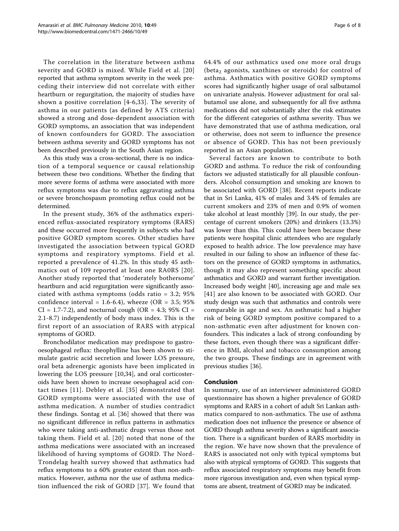The correlation in the literature between asthma severity and GORD is mixed. While Field et al. [[20](#page-6-0)] reported that asthma symptom severity in the week preceding their interview did not correlate with either heartburn or regurgitation, the majority of studies have shown a positive correlation [[4-6,](#page-6-0)[33](#page-7-0)]. The severity of asthma in our patients (as defined by ATS criteria) showed a strong and dose-dependent association with GORD symptoms, an association that was independent of known confounders for GORD. The association between asthma severity and GORD symptoms has not been described previously in the South Asian region.

As this study was a cross-sectional, there is no indication of a temporal sequence or causal relationship between these two conditions. Whether the finding that more severe forms of asthma were associated with more reflux symptoms was due to reflux aggravating asthma or severe bronchospasm promoting reflux could not be determined.

In the present study, 36% of the asthmatics experienced reflux-associated respiratory symptoms (RARS) and these occurred more frequently in subjects who had positive GORD symptom scores. Other studies have investigated the association between typical GORD symptoms and respiratory symptoms. Field et al. reported a prevalence of 41.2%. In this study 45 asthmatics out of 109 reported at least one RA0RS [[20\]](#page-6-0). Another study reported that 'moderately bothersome' heartburn and acid regurgitation were significantly associated with asthma symptoms (odds ratio = 3.2; 95% confidence interval = 1.6-6.4), wheeze (OR = 3.5;  $95\%$ )  $CI = 1.7 - 7.2$ ), and nocturnal cough (OR = 4.3; 95% CI = 2.1-8.7) independently of body mass index. This is the first report of an association of RARS with atypical symptoms of GORD.

Bronchodilator medication may predispose to gastrooesophageal reflux: theophylline has been shown to stimulate gastric acid secretion and lower LOS pressure, oral beta adrenergic agonists have been implicated in lowering the LOS pressure [[10,](#page-6-0)[34\]](#page-7-0), and oral corticosteroids have been shown to increase oesophageal acid contact times [[11\]](#page-6-0). Debley et al. [[35](#page-7-0)] demonstrated that GORD symptoms were associated with the use of asthma medication. A number of studies contradict these findings. Sontag et al. [\[36](#page-7-0)] showed that there was no significant difference in reflux patterns in asthmatics who were taking anti-asthmatic drugs versus those not taking them. Field et al. [[20\]](#page-6-0) noted that none of the asthma medications were associated with an increased likelihood of having symptoms of GORD. The Nord-Trondelag health survey showed that asthmatics had reflux symptoms to a 60% greater extent than non-asthmatics. However, asthma nor the use of asthma medication influenced the risk of GORD [\[37](#page-7-0)]. We found that 64.4% of our asthmatics used one more oral drugs (beta<sub>2</sub> agonists, xanthines or steroids) for control of asthma. Asthmatics with positive GORD symptoms scores had significantly higher usage of oral salbutamol on univariate analysis. However adjustment for oral salbutamol use alone, and subsequently for all five asthma medications did not substantially alter the risk estimates for the different categories of asthma severity. Thus we have demonstrated that use of asthma medication, oral or otherwise, does not seem to influence the presence or absence of GORD. This has not been previously reported in an Asian population.

Several factors are known to contribute to both GORD and asthma. To reduce the risk of confounding factors we adjusted statistically for all plausible confounders. Alcohol consumption and smoking are known to be associated with GORD [[38](#page-7-0)]. Recent reports indicate that in Sri Lanka, 41% of males and 3.4% of females are current smokers and 23% of men and 0.9% of women take alcohol at least monthly [[39](#page-7-0)]. In our study, the percentage of current smokers (20%) and drinkers (13.3%) was lower than this. This could have been because these patients were hospital clinic attendees who are regularly exposed to health advice. The low prevalence may have resulted in our failing to show an influence of these factors on the presence of GORD symptoms in asthmatics, though it may also represent something specific about asthmatics and GORD and warrant further investigation. Increased body weight [[40\]](#page-7-0), increasing age and male sex [[41](#page-7-0)] are also known to be associated with GORD. Our study design was such that asthmatics and controls were comparable in age and sex. An asthmatic had a higher risk of being GORD symptom positive compared to a non-asthmatic even after adjustment for known confounders. This indicates a lack of strong confounding by these factors, even though there was a significant difference in BMI, alcohol and tobacco consumption among the two groups. These findings are in agreement with previous studies [[36\]](#page-7-0).

#### Conclusion

In summary, use of an interviewer administered GORD questionnaire has shown a higher prevalence of GORD symptoms and RARS in a cohort of adult Sri Lankan asthmatics compared to non-asthmatics. The use of asthma medication does not influence the presence or absence of GORD though asthma severity shows a significant association. There is a significant burden of RARS morbidity in the region. We have now shown that the prevalence of RARS is associated not only with typical symptoms but also with atypical symptoms of GORD. This suggests that reflux associated respiratory symptoms may benefit from more rigorous investigation and, even when typical symptoms are absent, treatment of GORD may be indicated.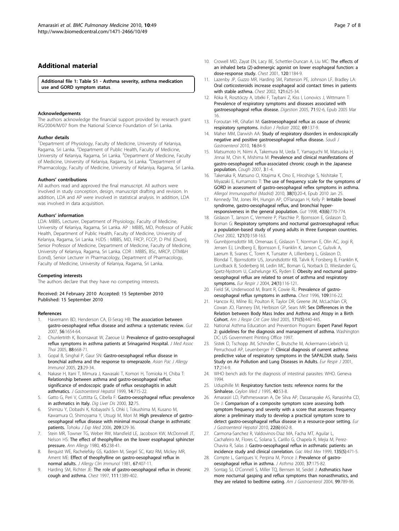## <span id="page-6-0"></span>Additional material

[Additional file 1: T](http://www.biomedcentral.com/content/supplementary/1471-2466-10-49-S1.DOC)able S1 - Asthma severity, asthma medication use and GORD symptom status.

#### Acknowledgements

The authors acknowledge the financial support provided by research grant RG/2004/M/07 from the National Science Foundation of Sri Lanka.

#### Author details

<sup>1</sup>Department of Physiology, Faculty of Medicine, University of Kelaniya, Ragama, Sri Lanka. <sup>2</sup>Department of Public Health, Faculty of Medicine, University of Kelaniya, Ragama, Sri Lanka. <sup>3</sup>Department of Medicine, Faculty of Medicine, University of Kelaniya, Ragama, Sri Lanka. <sup>4</sup>Department of Pharmacology, Faculty of Medicine, University of Kelaniya, Ragama, Sri Lanka.

#### Authors' contributions

All authors read and approved the final manuscript. All authors were involved in study conception, design, manuscript drafting and revision. In addition, LDA and AP were involved in statistical analysis. In addition, LDA was involved in data acquisition.

#### Authors' information

LDA: MBBS, Lecturer, Department of Physiology, Faculty of Medicine, University of Kelaniya, Ragama, Sri Lanka. AP : MBBS, MD, Professor of Public Health, Department of Public Health, Faculty of Medicine, University of Kelaniya, Ragama, Sri Lanka. HJDS : MBBS, MD, FRCP, FCCP, D Phil (Oxon), Senior Professor of Medicine, Department of Medicine, Faculty of Medicine, University of Kelaniya, Ragama, Sri Lanka. CDR : MBBS, BSc, MRCP, DTM&H (Lond), Senior Lecturer in Pharmacology, Department of Pharmacology, Faculty of Medicine, University of Kelaniya, Ragama, Sri Lanka.

#### Competing interests

The authors declare that they have no competing interests.

Received: 24 February 2010 Accepted: 15 September 2010 Published: 15 September 2010

#### References

- 1. Havemann BD, Henderson CA, El-Serag HB: [The association between](http://www.ncbi.nlm.nih.gov/pubmed/17682001?dopt=Abstract) [gastro-oesophageal reflux disease and asthma: a systematic review.](http://www.ncbi.nlm.nih.gov/pubmed/17682001?dopt=Abstract) Gut 2007, 56:1654-64.
- 2. Chunlertrith K, Boonsawat W, Zaeoue U: [Prevalence of gastro-oesophageal](http://www.ncbi.nlm.nih.gov/pubmed/16149686?dopt=Abstract) [reflux symptoms in asthma patients at Srinagarind Hospital.](http://www.ncbi.nlm.nih.gov/pubmed/16149686?dopt=Abstract) J Med Assoc Thai 2005, 88:668-71.
- 3. Gopal B, Singhal P, Gaur SN: [Gastro-oesophageal reflux disease in](http://www.ncbi.nlm.nih.gov/pubmed/15997872?dopt=Abstract) [bronchial asthma and the response to omeprazole.](http://www.ncbi.nlm.nih.gov/pubmed/15997872?dopt=Abstract) Asian Pac J Allergy Immunol 2005, 23:29-34.
- 4. Nakase H, Itani T, Mimura J, Kawasaki T, Komori H, Tomioka H, Chiba T: [Relationship between asthma and gastro-oesophageal reflux:](http://www.ncbi.nlm.nih.gov/pubmed/10440218?dopt=Abstract) [significance of endoscopic grade of reflux oesophagitis in adult](http://www.ncbi.nlm.nih.gov/pubmed/10440218?dopt=Abstract) [asthmatics.](http://www.ncbi.nlm.nih.gov/pubmed/10440218?dopt=Abstract) J Gastroenterol Hepatol 1999, 14:715-22.
- 5. Gatto G, Peri V, Cuttitta G, Cibella F: [Gastro-oesophageal reflux: prevalence](http://www.ncbi.nlm.nih.gov/pubmed/10975764?dopt=Abstract) [in asthmatics in Italy.](http://www.ncbi.nlm.nih.gov/pubmed/10975764?dopt=Abstract) Dig Liver Dis 2000, 32:75.
- 6. Shimizu Y, Dobashi K, Kobayashi S, Ohki I, Tokushima M, Kusano M, Kawamura O, Shimoyama Y, Utsugi M, Mori M: [High prevalence of gastro](http://www.ncbi.nlm.nih.gov/pubmed/16864955?dopt=Abstract)[oesophageal reflux disease with minimal mucosal change in asthmatic](http://www.ncbi.nlm.nih.gov/pubmed/16864955?dopt=Abstract) [patients.](http://www.ncbi.nlm.nih.gov/pubmed/16864955?dopt=Abstract) Tohoku J Exp Med 2006, 209:329-36.
- 7. Stein MR, Towner TG, Weber RW, Mansfield LE, Jacobson KW, McDonnell JT, Nelson HS: [The effect of theophylline on the lower esophageal sphincter](http://www.ncbi.nlm.nih.gov/pubmed/7425397?dopt=Abstract) [pressure.](http://www.ncbi.nlm.nih.gov/pubmed/7425397?dopt=Abstract) Ann Allergy 1980, 45:238-41.
- 8. Berquist WE, Rachelefsky GS, Kadden M, Siegel SC, Katz RM, Mickey MR, Ament ME: [Effect of theophylline on gastro-oesophageal reflux in](http://www.ncbi.nlm.nih.gov/pubmed/7229228?dopt=Abstract) [normal adults.](http://www.ncbi.nlm.nih.gov/pubmed/7229228?dopt=Abstract) J Allergy Clin Immunol 1981, 67:407-11.
- 9. Harding SM, Richter JE: [The role of gastro-oesophageal reflux in chronic](http://www.ncbi.nlm.nih.gov/pubmed/9149599?dopt=Abstract) [cough and asthma.](http://www.ncbi.nlm.nih.gov/pubmed/9149599?dopt=Abstract) Chest 1997, 111:1389-402.
- 10. Crowell MD, Zayat EN, Lacy BE, Schettler-Duncan A, Liu MC: [The effects of](http://www.ncbi.nlm.nih.gov/pubmed/11591558?dopt=Abstract) [an inhaled beta \(2\)-adrenergic agonist on lower esophageal function: a](http://www.ncbi.nlm.nih.gov/pubmed/11591558?dopt=Abstract) [dose-response study.](http://www.ncbi.nlm.nih.gov/pubmed/11591558?dopt=Abstract) Chest 2001, 120:1184-9.
- 11. Lazenby JP, Guzzo MR, Harding SM, Patterson PE, Johnson LF, Bradley LA: [Oral corticosteroids increase esophageal acid contact times in patients](http://www.ncbi.nlm.nih.gov/pubmed/11834680?dopt=Abstract) [with stable asthma.](http://www.ncbi.nlm.nih.gov/pubmed/11834680?dopt=Abstract) Chest 2002, 121:625-34.
- 12. Róka R, Rosztóczy A, Izbéki F, Taybani Z, Kiss I, Lonovics J, Wittmann T: [Prevalence of respiratory symptoms and diseases associated with](http://www.ncbi.nlm.nih.gov/pubmed/15775676?dopt=Abstract) [gastroesophageal reflux disease.](http://www.ncbi.nlm.nih.gov/pubmed/15775676?dopt=Abstract) Digestion 2005, 71:92-6, Epub 2005 Mar 16.
- 13. Foroutan HR, Ghafari M: [Gastroesophageal reflux as cause of chronic](http://www.ncbi.nlm.nih.gov/pubmed/11929029?dopt=Abstract) [respiratory symptoms.](http://www.ncbi.nlm.nih.gov/pubmed/11929029?dopt=Abstract) Indian J Pediatr 2002, 69:137-9.
- 14. Maher MM, Darwish AA: [Study of respiratory disorders in endoscopically](http://www.ncbi.nlm.nih.gov/pubmed/20339176?dopt=Abstract) [negative and positive gastroesophageal reflux disease.](http://www.ncbi.nlm.nih.gov/pubmed/20339176?dopt=Abstract) Saudi J Gastroenterol 2010, 16:84-9.
- 15. Matsumoto H, Niimi A, Takemura M, Ueda T, Yamaguchi M, Matsuoka H, Jinnai M, Chin K, Mishima M: [Prevalence and clinical manifestations of](http://www.ncbi.nlm.nih.gov/pubmed/17210085?dopt=Abstract) [gastro-oesophageal reflux-associated chronic cough in the Japanese](http://www.ncbi.nlm.nih.gov/pubmed/17210085?dopt=Abstract) [population.](http://www.ncbi.nlm.nih.gov/pubmed/17210085?dopt=Abstract) Cough 2007, 3:1-4.
- 16. Takenaka R, Matsuno O, Kitajima K, Ono E, Hiroshige S, Nishitake T, Miyazaki E, Kumamoto T: The use of frequency scale for the symptoms of GORD in assessment of gastro-oesophageal reflex symptoms in asthma. Allergol Immunopathol (Madrid) 2010, 38(1):20-4, Epub 2010 Jan 25.
- 17. Kennedy TM, Jones RH, Hungin AP, O'Flanagan H, Kelly P: [Irritable bowel](http://www.ncbi.nlm.nih.gov/pubmed/9824603?dopt=Abstract) [syndrome, gastro-oesophageal reflux, and bronchial hyper](http://www.ncbi.nlm.nih.gov/pubmed/9824603?dopt=Abstract)[responsiveness in the general population.](http://www.ncbi.nlm.nih.gov/pubmed/9824603?dopt=Abstract) Gut 1998, 43(6):770-774.
- 18. Gislason T, Janson C, Vermeire P, Plaschke P, Bjornsson E, Gislason D, Boman G: [Respiratory symptoms and nocturnal gastroesophageal reflux:](http://www.ncbi.nlm.nih.gov/pubmed/11796445?dopt=Abstract) [a population-based study of young adults in three European countries.](http://www.ncbi.nlm.nih.gov/pubmed/11796445?dopt=Abstract) Chest 2002, 121(1):158-163.
- 19. Gunnbjornsdottir MI, Omenaas E, Gislason T, Norrman E, Olin AC, Jogi R, Jensen EJ, Lindberg E, Bjornsson E, Franklin K, Janson C, Gulsvik A, Laerum B, Svanes C, Toren K, Tunsater A, Lillienberg L, Gislason D, Blondal T, Bjornsdottir US, Jorundsdottir KB, Talvik R, Forsberg B, Franklin K, Lundback B, Soderberg M, Ledin MC, Boman G, Norback D, Wieslander G, Spetz-Nystrom U, Cashelunge KS, Ryden E: [Obesity and nocturnal gastro](http://www.ncbi.nlm.nih.gov/pubmed/15293613?dopt=Abstract)[oesophageal reflux are related to onset of asthma and respiratory](http://www.ncbi.nlm.nih.gov/pubmed/15293613?dopt=Abstract) [symptoms.](http://www.ncbi.nlm.nih.gov/pubmed/15293613?dopt=Abstract) Eur Respir J 2004, 24(1):116-121.
- 20. Field SK, Underwood M, Brant R, Cowie RL: [Prevalence of gastro](http://www.ncbi.nlm.nih.gov/pubmed/8620699?dopt=Abstract)[oesophageal reflux symptoms in asthma.](http://www.ncbi.nlm.nih.gov/pubmed/8620699?dopt=Abstract) Chest 1996, 109:316-22.
- 21. Hancox RJ, Milne BJ, Poulton R, Taylor DR, Greene JM, McLachlan CR, Cowan JO, Flannery EM, Herbison GP, Sears MR: [Sex Differences in the](http://www.ncbi.nlm.nih.gov/pubmed/15557135?dopt=Abstract) [Relation between Body Mass Index and Asthma and Atopy in a Birth](http://www.ncbi.nlm.nih.gov/pubmed/15557135?dopt=Abstract) [Cohort.](http://www.ncbi.nlm.nih.gov/pubmed/15557135?dopt=Abstract) Am J Respir Crit Care Med 2005, 171(5):440-445.
- 22. National Asthma Education and Prevention Program: Expert Panel Report 2: guidelines for the diagnosis and management of asthma. Washington DC: US Government Printing Office 1997.
- 23. Sistek D, Tschopp JM, Schindler C, Brutsche M, Ackermann-Liebrich U, Perruchoud AP, Leuenberger P: [Clinical diagnosis of current asthma:](http://www.ncbi.nlm.nih.gov/pubmed/11334122?dopt=Abstract) [predictive value of respiratory symptoms in the SAPALDIA study. Swiss](http://www.ncbi.nlm.nih.gov/pubmed/11334122?dopt=Abstract) [Study on Air Pollution and Lung Diseases in Adults.](http://www.ncbi.nlm.nih.gov/pubmed/11334122?dopt=Abstract) Eur Respir J 2001, 17:214-9.
- 24. WHO bench aids for the diagnosis of intestinal parasites: WHO. Geneva 1994.
- 25. Udupihille M: [Respiratory function tests: reference norms for the](http://www.ncbi.nlm.nih.gov/pubmed/7656358?dopt=Abstract) [Sinhalese.](http://www.ncbi.nlm.nih.gov/pubmed/7656358?dopt=Abstract) Ceylon Med J 1995, 40:53-8.
- 26. Amarasiri LD, Pathmeswaran A, De Silva AP, Dassanayake AS, Ranasinha CD, De J: [Comparison of a composite symptom score assessing both](http://www.ncbi.nlm.nih.gov/pubmed/19491697?dopt=Abstract) [symptom frequency and severity with a score that assesses frequency](http://www.ncbi.nlm.nih.gov/pubmed/19491697?dopt=Abstract) [alone: a preliminary study to develop a practical symptom score to](http://www.ncbi.nlm.nih.gov/pubmed/19491697?dopt=Abstract) [detect gastro-oesophageal reflux disease in a resource-poor setting.](http://www.ncbi.nlm.nih.gov/pubmed/19491697?dopt=Abstract) Eur J Gastroenterol Hepatol 2010, 22(6):662-8.
- 27. Carmona-Sanchez R, Valdovinos-Diaz MA, Facha MT, Aguilar L, Cachafeiro M, Flores C, Solana S, Carillo G, Chapela R, Mejia M, Perez-Chavira R, Salas J: [Gastro-oesophageal reflux in asthmatic patients: an](http://www.ncbi.nlm.nih.gov/pubmed/10596487?dopt=Abstract) [incidence study and clinical correlation.](http://www.ncbi.nlm.nih.gov/pubmed/10596487?dopt=Abstract) Gac Med Mex 1999, 135(5):471-5.
- 28. Compte L, Garrigues V, Perpina M, Ponce J: [Prevalence of gastro](http://www.ncbi.nlm.nih.gov/pubmed/10805206?dopt=Abstract)[oesophageal reflux in asthma.](http://www.ncbi.nlm.nih.gov/pubmed/10805206?dopt=Abstract) J Asthma 2000, 37:175-82.
- 29. Sontag SJ, O'Connell S, Miller TQ, Bernsen M, Seidel J: [Asthmatics have](http://www.ncbi.nlm.nih.gov/pubmed/15128338?dopt=Abstract) [more nocturnal gasping and reflux symptoms than nonasthmatics, and](http://www.ncbi.nlm.nih.gov/pubmed/15128338?dopt=Abstract) [they are related to bedtime eating.](http://www.ncbi.nlm.nih.gov/pubmed/15128338?dopt=Abstract) Am J Gastroenterol 2004, 99:789-96.